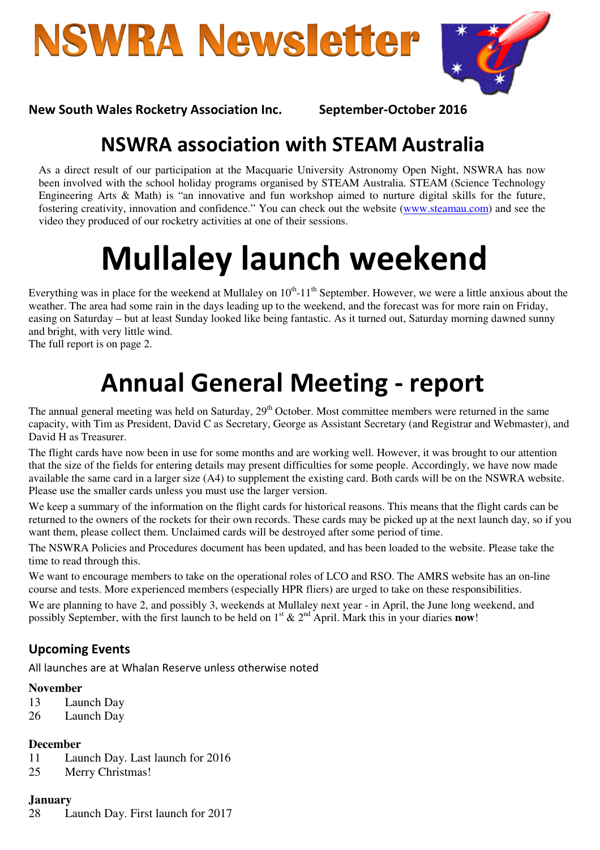**NSWRA Newsletter** 



#### New South Wales Rocketry Association Inc. September-October 2016

### NSWRA association with STEAM Australia

As a direct result of our participation at the Macquarie University Astronomy Open Night, NSWRA has now been involved with the school holiday programs organised by STEAM Australia. STEAM (Science Technology Engineering Arts & Math) is "an innovative and fun workshop aimed to nurture digital skills for the future, fostering creativity, innovation and confidence." You can check out the website (www.steamau.com) and see the video they produced of our rocketry activities at one of their sessions.

# Mullaley launch weekend

Everything was in place for the weekend at Mullaley on  $10<sup>th</sup>$ -11<sup>th</sup> September. However, we were a little anxious about the weather. The area had some rain in the days leading up to the weekend, and the forecast was for more rain on Friday, easing on Saturday – but at least Sunday looked like being fantastic. As it turned out, Saturday morning dawned sunny and bright, with very little wind.

The full report is on page 2.

# Annual General Meeting - report

The annual general meeting was held on Saturday, 29<sup>th</sup> October. Most committee members were returned in the same capacity, with Tim as President, David C as Secretary, George as Assistant Secretary (and Registrar and Webmaster), and David H as Treasurer.

The flight cards have now been in use for some months and are working well. However, it was brought to our attention that the size of the fields for entering details may present difficulties for some people. Accordingly, we have now made available the same card in a larger size (A4) to supplement the existing card. Both cards will be on the NSWRA website. Please use the smaller cards unless you must use the larger version.

We keep a summary of the information on the flight cards for historical reasons. This means that the flight cards can be returned to the owners of the rockets for their own records. These cards may be picked up at the next launch day, so if you want them, please collect them. Unclaimed cards will be destroyed after some period of time.

The NSWRA Policies and Procedures document has been updated, and has been loaded to the website. Please take the time to read through this.

We want to encourage members to take on the operational roles of LCO and RSO. The AMRS website has an on-line course and tests. More experienced members (especially HPR fliers) are urged to take on these responsibilities.

We are planning to have 2, and possibly 3, weekends at Mullaley next year - in April, the June long weekend, and possibly September, with the first launch to be held on  $1<sup>st</sup>$  &  $2<sup>nd</sup>$  April. Mark this in your diaries **now!** 

#### Upcoming Events

All launches are at Whalan Reserve unless otherwise noted

#### **November**

- 13 Launch Day
- 26 Launch Day

#### **December**

- 11 Launch Day. Last launch for 2016
- 25 Merry Christmas!

#### **January**

28 Launch Day. First launch for 2017